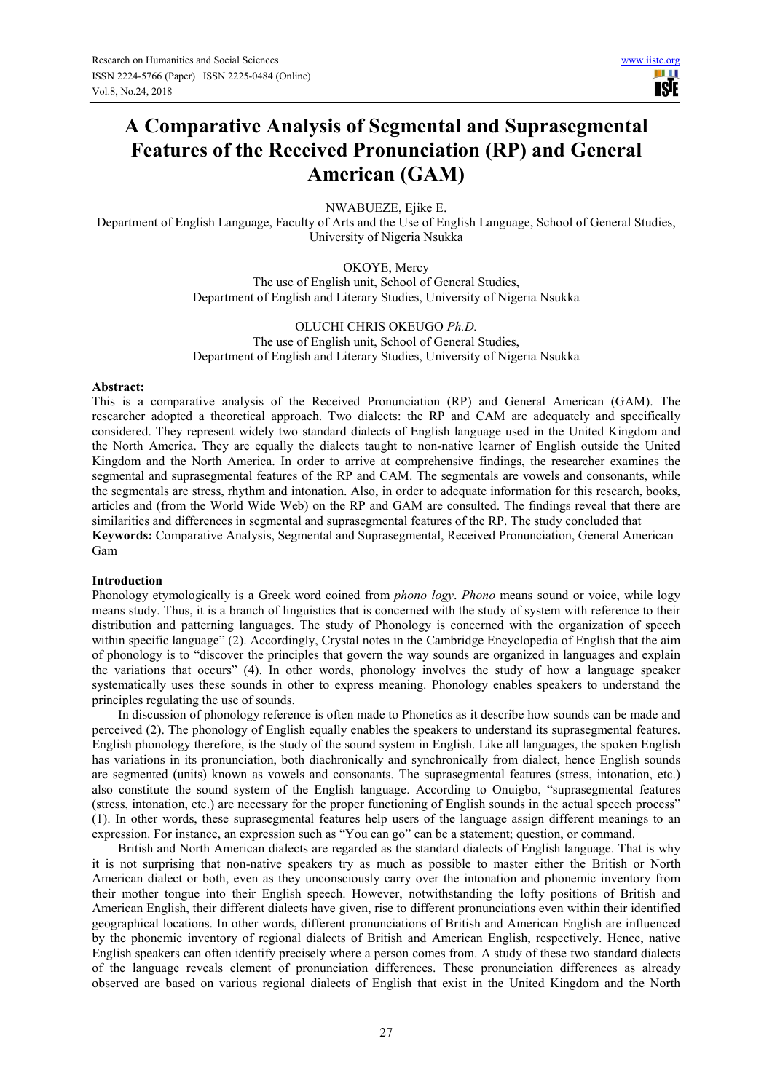# **A Comparative Analysis of Segmental and Suprasegmental Features of the Received Pronunciation (RP) and General American (GAM)**

NWABUEZE, Ejike E.

Department of English Language, Faculty of Arts and the Use of English Language, School of General Studies, University of Nigeria Nsukka

> OKOYE, Mercy The use of English unit, School of General Studies, Department of English and Literary Studies, University of Nigeria Nsukka

> OLUCHI CHRIS OKEUGO *Ph.D.* The use of English unit, School of General Studies, Department of English and Literary Studies, University of Nigeria Nsukka

#### **Abstract:**

This is a comparative analysis of the Received Pronunciation (RP) and General American (GAM). The researcher adopted a theoretical approach. Two dialects: the RP and CAM are adequately and specifically considered. They represent widely two standard dialects of English language used in the United Kingdom and the North America. They are equally the dialects taught to non-native learner of English outside the United Kingdom and the North America. In order to arrive at comprehensive findings, the researcher examines the segmental and suprasegmental features of the RP and CAM. The segmentals are vowels and consonants, while the segmentals are stress, rhythm and intonation. Also, in order to adequate information for this research, books, articles and (from the World Wide Web) on the RP and GAM are consulted. The findings reveal that there are similarities and differences in segmental and suprasegmental features of the RP. The study concluded that **Keywords:** Comparative Analysis, Segmental and Suprasegmental, Received Pronunciation, General American Gam

### **Introduction**

Phonology etymologically is a Greek word coined from *phono logy*. *Phono* means sound or voice, while logy means study. Thus, it is a branch of linguistics that is concerned with the study of system with reference to their distribution and patterning languages. The study of Phonology is concerned with the organization of speech within specific language" (2). Accordingly, Crystal notes in the Cambridge Encyclopedia of English that the aim of phonology is to "discover the principles that govern the way sounds are organized in languages and explain the variations that occurs" (4). In other words, phonology involves the study of how a language speaker systematically uses these sounds in other to express meaning. Phonology enables speakers to understand the principles regulating the use of sounds.

In discussion of phonology reference is often made to Phonetics as it describe how sounds can be made and perceived (2). The phonology of English equally enables the speakers to understand its suprasegmental features. English phonology therefore, is the study of the sound system in English. Like all languages, the spoken English has variations in its pronunciation, both diachronically and synchronically from dialect, hence English sounds are segmented (units) known as vowels and consonants. The suprasegmental features (stress, intonation, etc.) also constitute the sound system of the English language. According to Onuigbo, "suprasegmental features (stress, intonation, etc.) are necessary for the proper functioning of English sounds in the actual speech process" (1). In other words, these suprasegmental features help users of the language assign different meanings to an expression. For instance, an expression such as "You can go" can be a statement; question, or command.

British and North American dialects are regarded as the standard dialects of English language. That is why it is not surprising that non-native speakers try as much as possible to master either the British or North American dialect or both, even as they unconsciously carry over the intonation and phonemic inventory from their mother tongue into their English speech. However, notwithstanding the lofty positions of British and American English, their different dialects have given, rise to different pronunciations even within their identified geographical locations. In other words, different pronunciations of British and American English are influenced by the phonemic inventory of regional dialects of British and American English, respectively. Hence, native English speakers can often identify precisely where a person comes from. A study of these two standard dialects of the language reveals element of pronunciation differences. These pronunciation differences as already observed are based on various regional dialects of English that exist in the United Kingdom and the North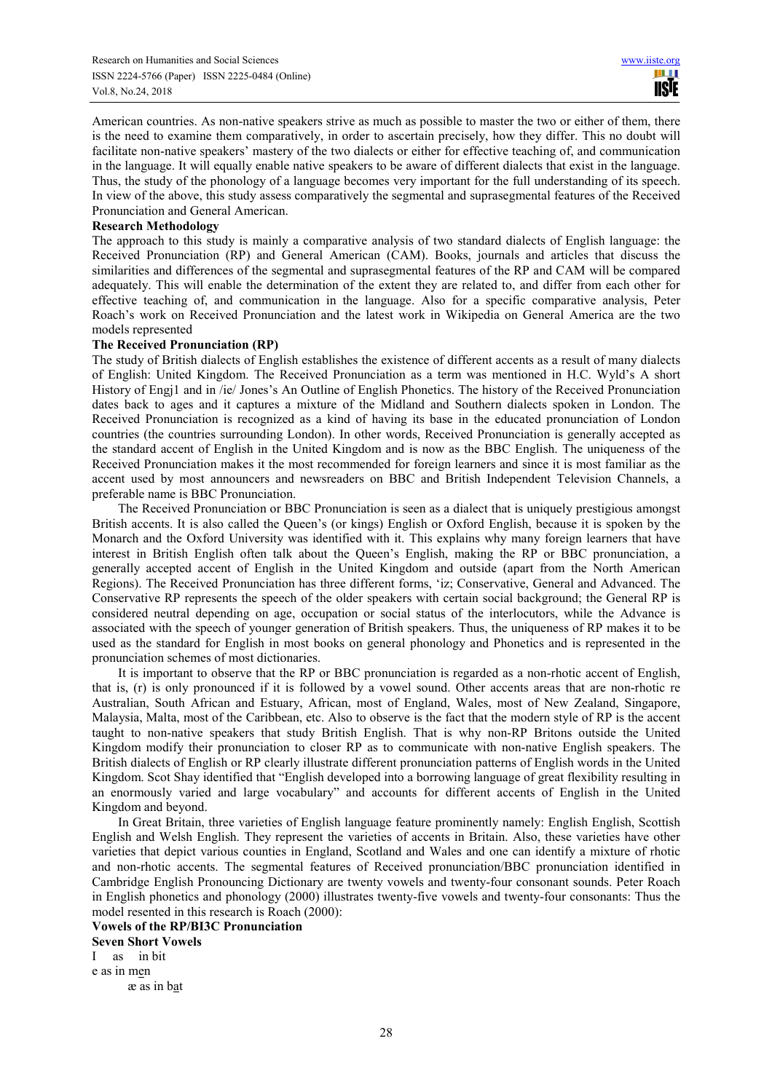American countries. As non-native speakers strive as much as possible to master the two or either of them, there is the need to examine them comparatively, in order to ascertain precisely, how they differ. This no doubt will facilitate non-native speakers' mastery of the two dialects or either for effective teaching of, and communication in the language. It will equally enable native speakers to be aware of different dialects that exist in the language. Thus, the study of the phonology of a language becomes very important for the full understanding of its speech. In view of the above, this study assess comparatively the segmental and suprasegmental features of the Received Pronunciation and General American.

#### **Research Methodology**

The approach to this study is mainly a comparative analysis of two standard dialects of English language: the Received Pronunciation (RP) and General American (CAM). Books, journals and articles that discuss the similarities and differences of the segmental and suprasegmental features of the RP and CAM will be compared adequately. This will enable the determination of the extent they are related to, and differ from each other for effective teaching of, and communication in the language. Also for a specific comparative analysis, Peter Roach's work on Received Pronunciation and the latest work in Wikipedia on General America are the two models represented

#### **The Received Pronunciation (RP)**

The study of British dialects of English establishes the existence of different accents as a result of many dialects of English: United Kingdom. The Received Pronunciation as a term was mentioned in H.C. Wyld's A short History of Engj1 and in /ie/ Jones's An Outline of English Phonetics. The history of the Received Pronunciation dates back to ages and it captures a mixture of the Midland and Southern dialects spoken in London. The Received Pronunciation is recognized as a kind of having its base in the educated pronunciation of London countries (the countries surrounding London). In other words, Received Pronunciation is generally accepted as the standard accent of English in the United Kingdom and is now as the BBC English. The uniqueness of the Received Pronunciation makes it the most recommended for foreign learners and since it is most familiar as the accent used by most announcers and newsreaders on BBC and British Independent Television Channels, a preferable name is BBC Pronunciation.

The Received Pronunciation or BBC Pronunciation is seen as a dialect that is uniquely prestigious amongst British accents. It is also called the Queen's (or kings) English or Oxford English, because it is spoken by the Monarch and the Oxford University was identified with it. This explains why many foreign learners that have interest in British English often talk about the Queen's English, making the RP or BBC pronunciation, a generally accepted accent of English in the United Kingdom and outside (apart from the North American Regions). The Received Pronunciation has three different forms, 'iz; Conservative, General and Advanced. The Conservative RP represents the speech of the older speakers with certain social background; the General RP is considered neutral depending on age, occupation or social status of the interlocutors, while the Advance is associated with the speech of younger generation of British speakers. Thus, the uniqueness of RP makes it to be used as the standard for English in most books on general phonology and Phonetics and is represented in the pronunciation schemes of most dictionaries.

It is important to observe that the RP or BBC pronunciation is regarded as a non-rhotic accent of English, that is, (r) is only pronounced if it is followed by a vowel sound. Other accents areas that are non-rhotic re Australian, South African and Estuary, African, most of England, Wales, most of New Zealand, Singapore, Malaysia, Malta, most of the Caribbean, etc. Also to observe is the fact that the modern style of RP is the accent taught to non-native speakers that study British English. That is why non-RP Britons outside the United Kingdom modify their pronunciation to closer RP as to communicate with non-native English speakers. The British dialects of English or RP clearly illustrate different pronunciation patterns of English words in the United Kingdom. Scot Shay identified that "English developed into a borrowing language of great flexibility resulting in an enormously varied and large vocabulary" and accounts for different accents of English in the United Kingdom and beyond.

In Great Britain, three varieties of English language feature prominently namely: English English, Scottish English and Welsh English. They represent the varieties of accents in Britain. Also, these varieties have other varieties that depict various counties in England, Scotland and Wales and one can identify a mixture of rhotic and non-rhotic accents. The segmental features of Received pronunciation/BBC pronunciation identified in Cambridge English Pronouncing Dictionary are twenty vowels and twenty-four consonant sounds. Peter Roach in English phonetics and phonology (2000) illustrates twenty-five vowels and twenty-four consonants: Thus the model resented in this research is Roach (2000):

**Vowels of the RP/BI3C Pronunciation** 

**Seven Short Vowels**  I as in bit e as in men ӕ as in bat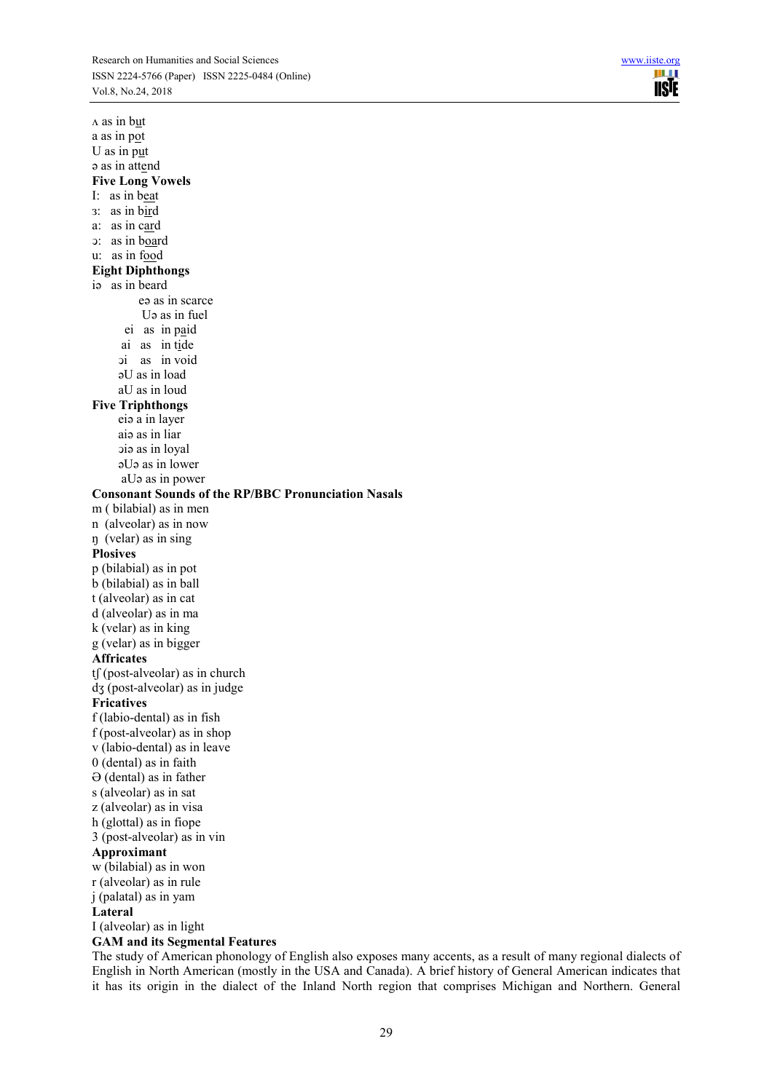

 $\Lambda$  as in but a as in pot U as in put ə as in attend **Five Long Vowels**  I: as in beat з: as in bird a: as in card ͻ: as in board u: as in food **Eight Diphthongs**  iə as in beard eə as in scarce Uə as in fuel ei as in paid ai as in tide ͻi as in void əU as in load aU as in loud **Five Triphthongs**  eiə a in layer aiə as in liar ͻiə as in loyal əUə as in lower aUə as in power **Consonant Sounds of the RP/BBC Pronunciation Nasals** m ( bilabial) as in men n (alveolar) as in now ŋ (velar) as in sing **Plosives**  p (bilabial) as in pot b (bilabial) as in ball t (alveolar) as in cat d (alveolar) as in ma k (velar) as in king g (velar) as in bigger **Affricates**   $tf$  (post-alveolar) as in church dʒ (post-alveolar) as in judge **Fricatives**  f (labio-dental) as in fish f (post-alveolar) as in shop v (labio-dental) as in leave 0 (dental) as in faith Ə (dental) as in father s (alveolar) as in sat z (alveolar) as in visa h (glottal) as in fiope 3 (post-alveolar) as in vin **Approximant**  w (bilabial) as in won r (alveolar) as in rule j (palatal) as in yam **Lateral**  I (alveolar) as in light **GAM and its Segmental Features** 

The study of American phonology of English also exposes many accents, as a result of many regional dialects of English in North American (mostly in the USA and Canada). A brief history of General American indicates that it has its origin in the dialect of the Inland North region that comprises Michigan and Northern. General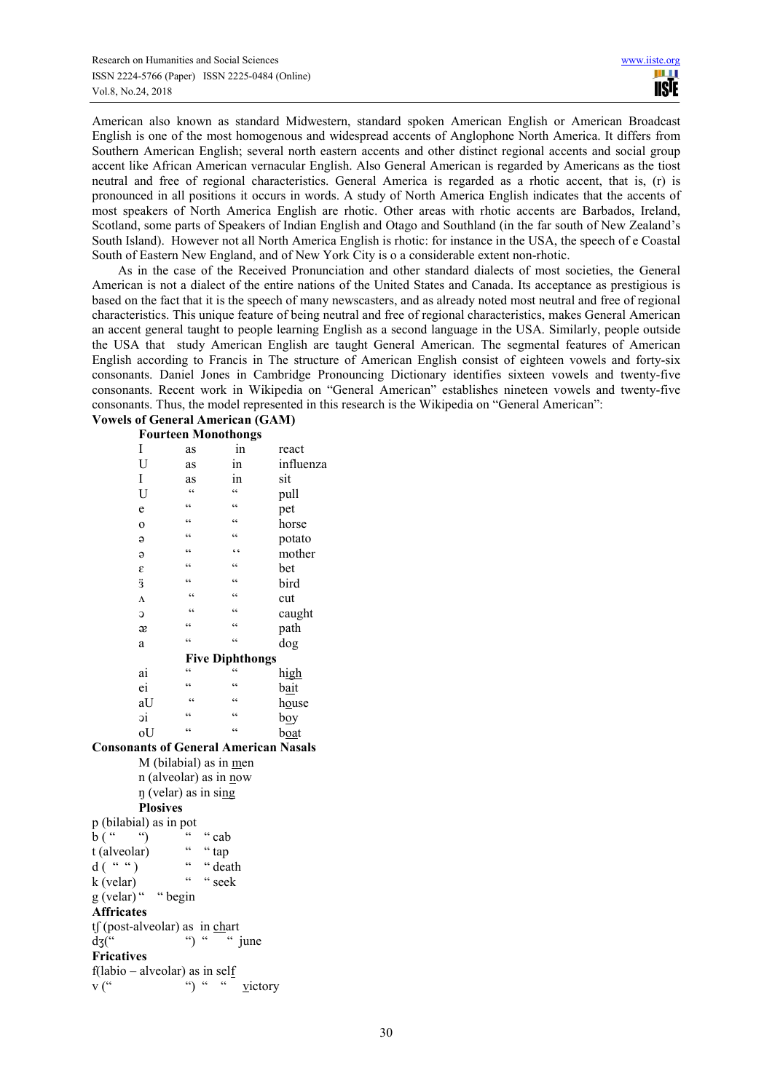American also known as standard Midwestern, standard spoken American English or American Broadcast English is one of the most homogenous and widespread accents of Anglophone North America. It differs from Southern American English; several north eastern accents and other distinct regional accents and social group accent like African American vernacular English. Also General American is regarded by Americans as the tiost neutral and free of regional characteristics. General America is regarded as a rhotic accent, that is, (r) is pronounced in all positions it occurs in words. A study of North America English indicates that the accents of most speakers of North America English are rhotic. Other areas with rhotic accents are Barbados, Ireland, Scotland, some parts of Speakers of Indian English and Otago and Southland (in the far south of New Zealand's South Island). However not all North America English is rhotic: for instance in the USA, the speech of e Coastal South of Eastern New England, and of New York City is o a considerable extent non-rhotic.

As in the case of the Received Pronunciation and other standard dialects of most societies, the General American is not a dialect of the entire nations of the United States and Canada. Its acceptance as prestigious is based on the fact that it is the speech of many newscasters, and as already noted most neutral and free of regional characteristics. This unique feature of being neutral and free of regional characteristics, makes General American an accent general taught to people learning English as a second language in the USA. Similarly, people outside the USA that study American English are taught General American. The segmental features of American English according to Francis in The structure of American English consist of eighteen vowels and forty-six consonants. Daniel Jones in Cambridge Pronouncing Dictionary identifies sixteen vowels and twenty-five consonants. Recent work in Wikipedia on "General American" establishes nineteen vowels and twenty-five consonants. Thus, the model represented in this research is the Wikipedia on "General American":

#### **Vowels of General American (GAM) Fourteen Monothongs**

| т оні куп тионопондз            |            |            |               |
|---------------------------------|------------|------------|---------------|
| Ι                               | as         | in         | react         |
| U                               | as         | in         | influenza     |
| Ι                               | as         | in         | sit           |
| U                               | $\epsilon$ | $\epsilon$ | pull          |
| e                               | $\epsilon$ | $\epsilon$ | pet           |
| $\overline{O}$                  | $\epsilon$ | $\epsilon$ | horse         |
| $\Theta$                        | $\epsilon$ | $\epsilon$ | potato        |
| $\Theta$                        | $\epsilon$ | $\epsilon$ | mother        |
| ε                               | $\epsilon$ | $\epsilon$ | bet           |
| ä                               | $\epsilon$ | $\epsilon$ | bird          |
| $\Lambda$                       | $\epsilon$ | $\epsilon$ | cut           |
| C                               | $\epsilon$ | $\epsilon$ | caught        |
| æ                               | $\epsilon$ | $\epsilon$ | path          |
| a                               | $\epsilon$ | $\epsilon$ | dog           |
| <b>Five Diphthongs</b>          |            |            |               |
| ai                              | $\epsilon$ | $\epsilon$ | <u>high</u>   |
| ei                              | $\epsilon$ | $\epsilon$ | bait          |
| aU                              | $\epsilon$ | $\epsilon$ | house         |
| эi                              | $\epsilon$ | $\epsilon$ | boy           |
| oU                              | $\epsilon$ | $\epsilon$ | b <u>oa</u> t |
| ants of General American Nasals |            |            |               |
| M (bilabial) as in men          |            |            |               |

n (alveolar) as in now ŋ (velar) as in sing **Plosives**   $p$  (bilabial) as in pot<br>  $p(x \leq y)$   $\leq p$   $\leq p$   $\leq q$   $\geq q$  $b(^{a}$  "  $t$  (alveolar)  $\cdots$  " tap  $d\left(\begin{array}{cc} a_1 \cos \theta & a_1 \cos \theta \\ a_1 \cos \theta & a_2 \cos \theta \\ a_2 \cos \theta & a_3 \cos \theta \\ a_4 \cos \theta & a_4 \cos \theta \\ a_5 \cos \theta & a_6 \cos \theta \\ a_7 \cos \theta & a_7 \cos \theta \\ a_8 \cos \theta & a_7 \cos \theta \\ a_8 \cos \theta & a_8 \cos \theta \\ a_9 \cos \theta & a_9 \cos \theta \\ a_1 \cos \theta & a_1 \cos \theta \\ a_1 \cos \theta & a_2 \cos \theta \\ a_1 \cos \theta & a_2 \cos \theta \\ a_1 \cos \theta & a_3 \cos \theta \\ a_$  $k (velar)$  " seek g (velar) " " begin **Affricates**   $tf$  (post-alveolar) as in chart  $\frac{d}{d}$ s(" ") " " june **Fricatives**  f(labio – alveolar) as in self  $v (``\t\t"') ``\t"$  victory

Conson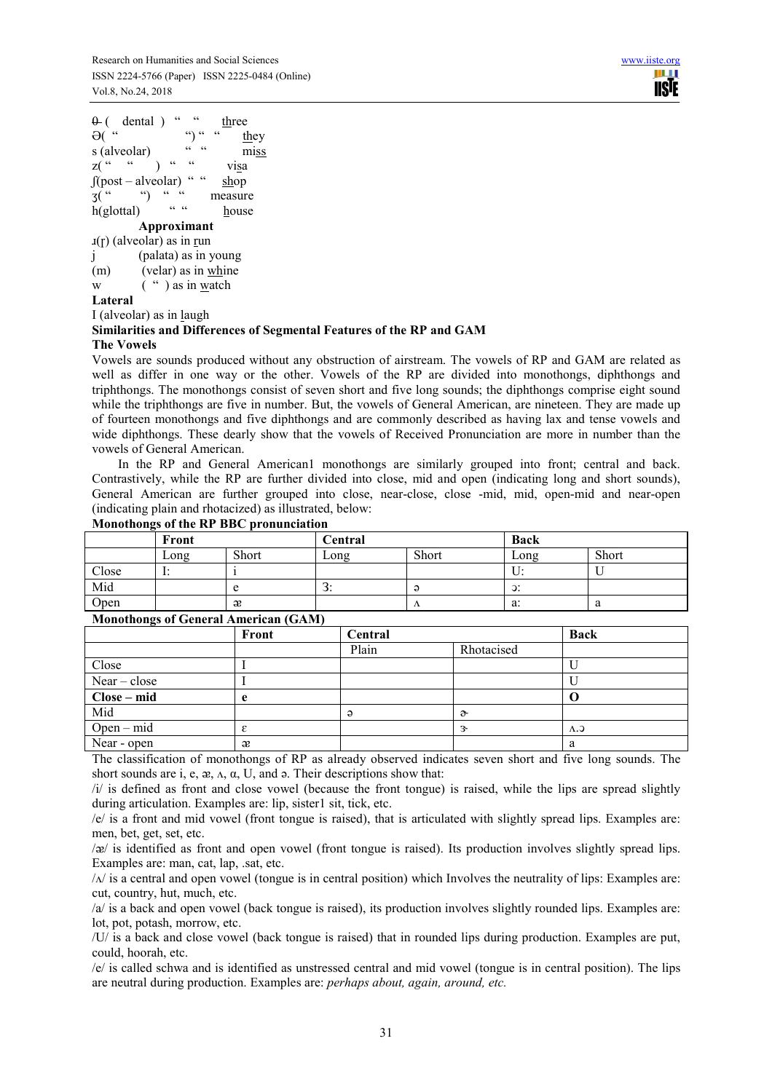$\theta$  ( dental ) " " three  $\Theta$ ( $\degree$  " $\degree$  ")  $\degree$  " $\degree$  they s (alveolar)  $\frac{u}{x}$  " miss  $z(\begin{array}{cc} \cdots & \cdots \end{array})$  " " visa  $\int (post-alveolar)$  " " shop  $3($  " ") " " measure  $h(\text{glottal})$  " " house **Approximant**   $\text{I}(r)$  (alveolar) as in run j (palata) as in young (m) (velar) as in whine w  $($  " ) as in watch **Lateral**  I (alveolar) as in laugh

# **Similarities and Differences of Segmental Features of the RP and GAM**

#### **The Vowels**

Vowels are sounds produced without any obstruction of airstream. The vowels of RP and GAM are related as well as differ in one way or the other. Vowels of the RP are divided into monothongs, diphthongs and triphthongs. The monothongs consist of seven short and five long sounds; the diphthongs comprise eight sound while the triphthongs are five in number. But, the vowels of General American, are nineteen. They are made up of fourteen monothongs and five diphthongs and are commonly described as having lax and tense vowels and wide diphthongs. These dearly show that the vowels of Received Pronunciation are more in number than the vowels of General American.

In the RP and General American1 monothongs are similarly grouped into front; central and back. Contrastively, while the RP are further divided into close, mid and open (indicating long and short sounds), General American are further grouped into close, near-close, close -mid, mid, open-mid and near-open (indicating plain and rhotacized) as illustrated, below: **Monothongs of the RP BBC pronunciation** 

| $\cdot$ | Front |       | Central |           | <b>Back</b>      |       |
|---------|-------|-------|---------|-----------|------------------|-------|
|         | Long  | Short | Long    | Short     | Long             | Short |
| Close   |       |       |         |           | U.               |       |
| Mid     |       |       | J.      |           | $\mathfrak{D}$ : |       |
| Open    |       | æ     |         | $\Lambda$ | a:               | a     |

### **Monothongs of General American (GAM)**

| $\bullet$      | Front | Central |               | <b>Back</b> |
|----------------|-------|---------|---------------|-------------|
|                |       | Plain   | Rhotacised    |             |
| Close          |       |         |               |             |
| $Near - close$ |       |         |               |             |
| Close – mid    |       |         |               |             |
| Mid            |       | ə       | $\partial$    |             |
| $Open - mid$   |       |         | $\mathcal{R}$ | $\Lambda$ . |
| Near - open    | æ     |         |               | a           |

The classification of monothongs of RP as already observed indicates seven short and five long sounds. The short sounds are i, e,  $\alpha$ ,  $\alpha$ ,  $\alpha$ ,  $U$ , and  $\alpha$ . Their descriptions show that:

 $\pi$  is defined as front and close vowel (because the front tongue) is raised, while the lips are spread slightly during articulation. Examples are: lip, sister1 sit, tick, etc.

/e/ is a front and mid vowel (front tongue is raised), that is articulated with slightly spread lips. Examples are: men, bet, get, set, etc.

/ᴂ/ is identified as front and open vowel (front tongue is raised). Its production involves slightly spread lips. Examples are: man, cat, lap, .sat, etc.

 $/\lambda$  is a central and open vowel (tongue is in central position) which Involves the neutrality of lips: Examples are: cut, country, hut, much, etc.

/a/ is a back and open vowel (back tongue is raised), its production involves slightly rounded lips. Examples are: lot, pot, potash, morrow, etc.

/U/ is a back and close vowel (back tongue is raised) that in rounded lips during production. Examples are put, could, hoorah, etc.

/e/ is called schwa and is identified as unstressed central and mid vowel (tongue is in central position). The lips are neutral during production. Examples are: *perhaps about, again, around, etc.*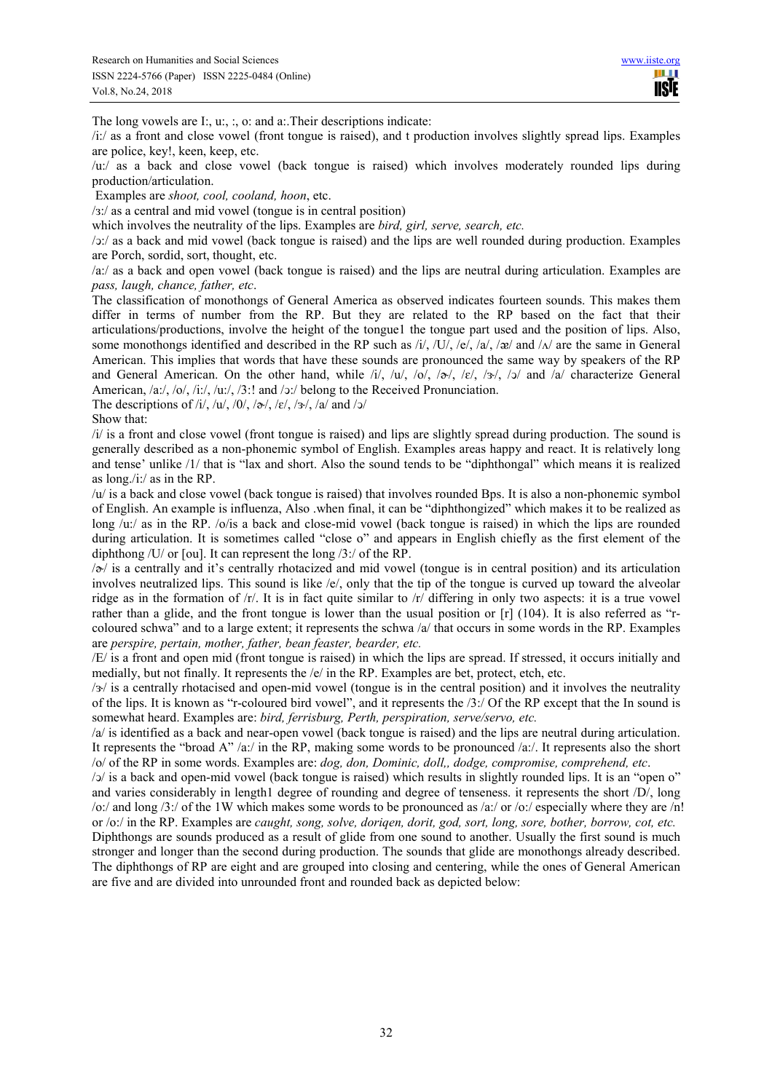HH I **USE** 

The long vowels are I:, u:, :, o: and a:.Their descriptions indicate:

/i:/ as a front and close vowel (front tongue is raised), and t production involves slightly spread lips. Examples are police, key!, keen, keep, etc.

/u:/ as a back and close vowel (back tongue is raised) which involves moderately rounded lips during production/articulation.

Examples are *shoot, cool, cooland, hoon*, etc.

/з:/ as a central and mid vowel (tongue is in central position)

which involves the neutrality of the lips. Examples are *bird, girl, serve, search, etc.*

/ͻ:/ as a back and mid vowel (back tongue is raised) and the lips are well rounded during production. Examples are Porch, sordid, sort, thought, etc.

/a:/ as a back and open vowel (back tongue is raised) and the lips are neutral during articulation. Examples are *pass, laugh, chance, father, etc*.

The classification of monothongs of General America as observed indicates fourteen sounds. This makes them differ in terms of number from the RP. But they are related to the RP based on the fact that their articulations/productions, involve the height of the tongue1 the tongue part used and the position of lips. Also, some monothongs identified and described in the RP such as  $\frac{1}{1}$ ,  $\frac{1}{1}$ ,  $\frac{1}{2}$ ,  $\frac{1}{2}$ ,  $\frac{1}{2}$ ,  $\frac{1}{2}$  and  $\frac{1}{\sqrt{2}}$  are the same in General American. This implies that words that have these sounds are pronounced the same way by speakers of the RP and General American. On the other hand, while  $/i/$ ,  $/u/$ ,  $/o/$ ,  $/\infty/$ ,  $/\infty/$ ,  $/\infty/$ ,  $/\infty/$  and  $/\infty/$  characterize General American, /a:/, /o/, /i:/, /u:/, /3:! and /ͻ:/ belong to the Received Pronunciation.

The descriptions of /i/, /u/, /0/, /a/, /ε/, /з/, /a/ and /ɔ/

Show that:

 $\frac{1}{i}$  is a front and close vowel (front tongue is raised) and lips are slightly spread during production. The sound is generally described as a non-phonemic symbol of English. Examples areas happy and react. It is relatively long and tense' unlike /1/ that is "lax and short. Also the sound tends to be "diphthongal" which means it is realized as long./i:/ as in the RP.

/u/ is a back and close vowel (back tongue is raised) that involves rounded Bps. It is also a non-phonemic symbol of English. An example is influenza, Also .when final, it can be "diphthongized" which makes it to be realized as long /u:/ as in the RP. /o/is a back and close-mid vowel (back tongue is raised) in which the lips are rounded during articulation. It is sometimes called "close o" and appears in English chiefly as the first element of the diphthong /U/ or [ou]. It can represent the long /3:/ of the RP.

 $\sqrt{\phi}$  is a centrally and it's centrally rhotacized and mid vowel (tongue is in central position) and its articulation involves neutralized lips. This sound is like /e/, only that the tip of the tongue is curved up toward the alveolar ridge as in the formation of /r/. It is in fact quite similar to /r/ differing in only two aspects: it is a true vowel rather than a glide, and the front tongue is lower than the usual position or [r] (104). It is also referred as "rcoloured schwa" and to a large extent; it represents the schwa /a/ that occurs in some words in the RP. Examples are *perspire, pertain, mother, father, bean feaster, bearder, etc.* 

/E/ is a front and open mid (front tongue is raised) in which the lips are spread. If stressed, it occurs initially and medially, but not finally. It represents the  $/e/$  in the RP. Examples are bet, protect, etch, etc.

 $\sqrt{\frac{3}{x}}$  is a centrally rhotacised and open-mid vowel (tongue is in the central position) and it involves the neutrality of the lips. It is known as "r-coloured bird vowel", and it represents the  $/3$ :/ Of the RP except that the In sound is somewhat heard. Examples are: *bird, ferrisburg, Perth, perspiration, serve/servo, etc.*

/a/ is identified as a back and near-open vowel (back tongue is raised) and the lips are neutral during articulation. It represents the "broad A" /a:/ in the RP, making some words to be pronounced /a:/. It represents also the short /o/ of the RP in some words. Examples are: *dog, don, Dominic, doll,, dodge, compromise, comprehend, etc*.

/ͻ/ is a back and open-mid vowel (back tongue is raised) which results in slightly rounded lips. It is an "open o" and varies considerably in length1 degree of rounding and degree of tenseness. it represents the short /D/, long /o:/ and long /3:/ of the 1W which makes some words to be pronounced as /a:/ or /o:/ especially where they are /n! or /o:/ in the RP. Examples are *caught, song, solve, doriqen, dorit, god, sort, long, sore, bother, borrow, cot, etc.* 

Diphthongs are sounds produced as a result of glide from one sound to another. Usually the first sound is much stronger and longer than the second during production. The sounds that glide are monothongs already described. The diphthongs of RP are eight and are grouped into closing and centering, while the ones of General American are five and are divided into unrounded front and rounded back as depicted below: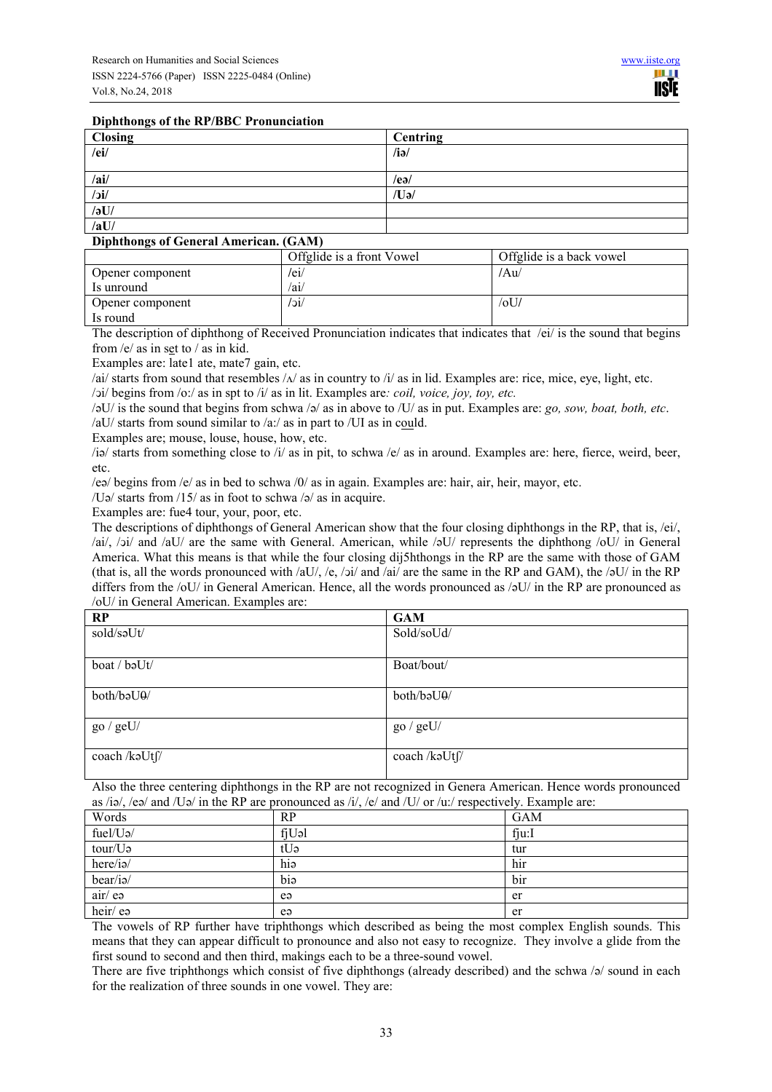#### **Diphthongs of the RP/BBC Pronunciation**

| <b>Closing</b> | <b>Centring</b> |
|----------------|-----------------|
| /ei/           | $/i\partial$    |
|                |                 |
| /ai/           | $/$ eə $/$      |
| $/$ ic $/$     | /Uə/            |
| $\sqrt{3}$ U/  |                 |
| /aU/           |                 |

#### **Diphthongs of General American. (GAM)**

| <u>siphenology</u> of Seneral Himericans |                           |                          |
|------------------------------------------|---------------------------|--------------------------|
|                                          | Offglide is a front Vowel | Offglide is a back vowel |
| Opener component                         | /ei/                      | /Au/                     |
| Is unround                               | /ai/                      |                          |
| Opener component                         | /jc/                      | $/0$ U                   |
| Is round                                 |                           |                          |

The description of diphthong of Received Pronunciation indicates that indicates that  $/ei$  is the sound that begins from /e/ as in set to / as in kid.

Examples are: late1 ate, mate7 gain, etc.

/ai/ starts from sound that resembles  $/\Delta$ / as in country to /i/ as in lid. Examples are: rice, mice, eye, light, etc.

/ͻi/ begins from /o:/ as in spt to /i/ as in lit. Examples are*: coil, voice, joy, toy, etc.*

/əU/ is the sound that begins from schwa /ə/ as in above to /U/ as in put. Examples are: *go, sow, boat, both, etc*.

/aU/ starts from sound similar to /a:/ as in part to /UI as in could.

Examples are; mouse, louse, house, how, etc.

/iə/ starts from something close to /i/ as in pit, to schwa /e/ as in around. Examples are: here, fierce, weird, beer, etc.

/eə/ begins from /e/ as in bed to schwa /0/ as in again. Examples are: hair, air, heir, mayor, etc.

/Uə/ starts from  $/15/$  as in foot to schwa  $/$ ə/ as in acquire.

Examples are: fue4 tour, your, poor, etc.

The descriptions of diphthongs of General American show that the four closing diphthongs in the RP, that is, /ei/, /ai/, /ͻi/ and /aU/ are the same with General. American, while /əU/ represents the diphthong /oU/ in General America. What this means is that while the four closing dij5hthongs in the RP are the same with those of GAM (that is, all the words pronounced with /aU/, /e, /ɔi/ and /ai/ are the same in the RP and GAM), the /əU/ in the RP differs from the /oU/ in General American. Hence, all the words pronounced as /oU/ in the RP are pronounced as /oU/ in General American. Examples are:

| RP             | <b>GAM</b>    |
|----------------|---------------|
| sold/səUt/     | Sold/soUd/    |
| boat / bəUt/   | Boat/bout/    |
| both/baU0/     | both/baU0/    |
| go $/$ geU $/$ | go / getU/    |
| coach /kaUtf/  | coach /kəUtf/ |

Also the three centering diphthongs in the RP are not recognized in Genera American. Hence words pronounced as /iə/, /eə/ and /Uə/ in the RP are pronounced as /i/, /e/ and /U/ or /u:/ respectively. Example are:

| Words               | RP    | <b>GAM</b> |
|---------------------|-------|------------|
| $fuel/U$ ə/         | fjUəl | fju:       |
| tour/U <sub>2</sub> | tUə   | tur        |
| here/ia/            | hiə   | hir        |
| bear/ia/            | bia   | bir        |
| air/ea              | e     | er         |
| heir/ $e$           | e     | er         |

The vowels of RP further have triphthongs which described as being the most complex English sounds. This means that they can appear difficult to pronounce and also not easy to recognize. They involve a glide from the first sound to second and then third, makings each to be a three-sound vowel.

There are five triphthongs which consist of five diphthongs (already described) and the schwa /ə/ sound in each for the realization of three sounds in one vowel. They are: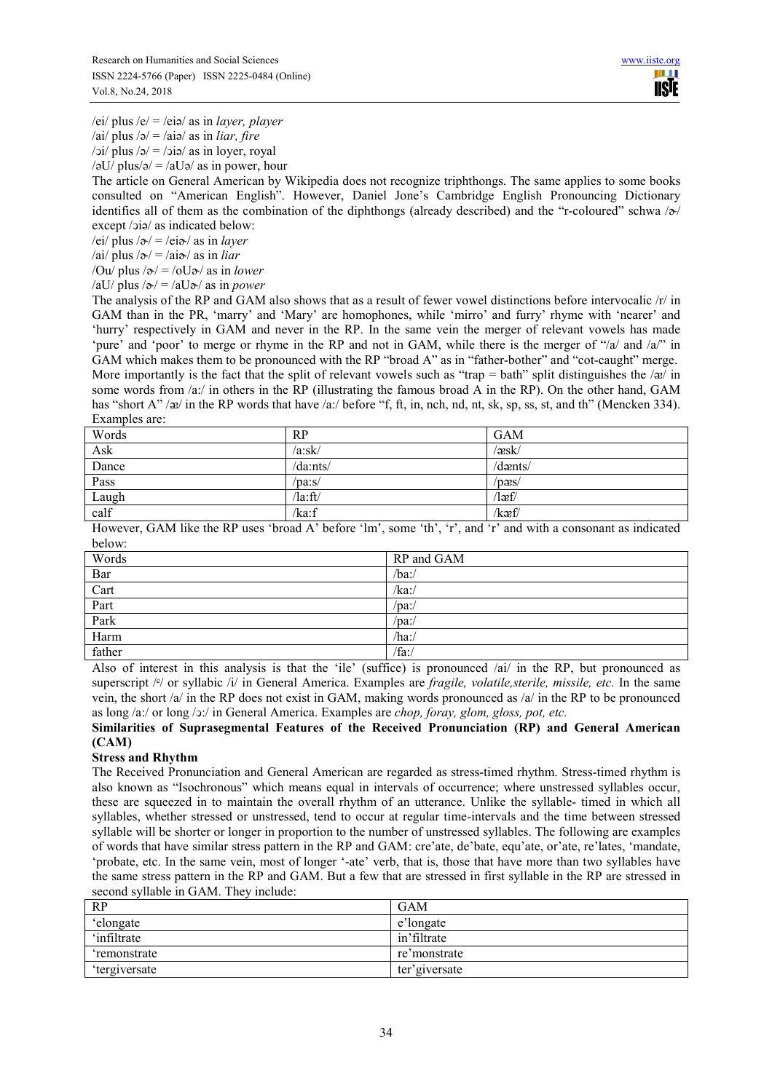/ei/ plus /e/ = /eiə/ as in *layer, player* 

/ai/ plus /ə/ = /aiə/ as in *liar, fire* 

 $\frac{\partial i}{\partial y}$  plus  $\frac{\partial}{\partial z} = \frac{\partial i}{\partial \phi}$  as in loyer, royal

 $\sqrt{2}$ U/ plus/ $\approx$  /  $\approx$  /aU $\approx$  /as in power, hour

The article on General American by Wikipedia does not recognize triphthongs. The same applies to some books consulted on "American English". However, Daniel Jone's Cambridge English Pronouncing Dictionary identifies all of them as the combination of the diphthongs (already described) and the "r-coloured" schwa  $\sqrt{\sigma}$ except /ɔiə/ as indicated below:

 $/ei/$  plus  $/ə/$  =  $/ei →$  as in *layer* 

 $/ai/$  plus  $/ə/$  =  $/aiə/$  as in *liar* 

/Ou/ plus  $/\infty$ / = /oU $\infty$ / as in *lower* 

/aU/ plus  $/\infty$ / = /aU $\infty$ / as in *power* 

The analysis of the RP and GAM also shows that as a result of fewer vowel distinctions before intervocalic /r/ in GAM than in the PR, 'marry' and 'Mary' are homophones, while 'mirro' and furry' rhyme with 'nearer' and 'hurry' respectively in GAM and never in the RP. In the same vein the merger of relevant vowels has made 'pure' and 'poor' to merge or rhyme in the RP and not in GAM, while there is the merger of "/a/ and /a/" in GAM which makes them to be pronounced with the RP "broad A" as in "father-bother" and "cot-caught" merge. More importantly is the fact that the split of relevant vowels such as "trap = bath" split distinguishes the  $\alpha$ / $\alpha$ / in some words from /a:/ in others in the RP (illustrating the famous broad A in the RP). On the other hand, GAM has "short A" / $\alpha$ / in the RP words that have /a:/ before "f, ft, in, nch, nd, nt, sk, sp, ss, st, and th" (Mencken 334). Examples are:

| $\sqrt{æsk}$<br>/a:sk/             | Words | RP       | <b>GAM</b> |
|------------------------------------|-------|----------|------------|
|                                    | Ask   |          |            |
|                                    | Dance | /da:nts/ | $d$ aents/ |
| /pæs/<br>/paːs/                    | Pass  |          |            |
| $\lambda$ la:ft $\lambda$<br>/læf/ | Laugh |          |            |
| /kæf/<br>/ka:f                     | calf  |          |            |

However, GAM like the RP uses 'broad A' before 'lm', some 'th', 'r', and 'r' and with a consonant as indicated below:

| Words  | RP and GAM |
|--------|------------|
| Bar    | /ba:/      |
| Cart   | /ka:/      |
| Part   | /pa:/      |
| Park   | /pa:/      |
| Harm   | /ha:/      |
| father | fa:        |

Also of interest in this analysis is that the 'ile' (suffice) is pronounced /ai/ in the RP, but pronounced as superscript / $\epsilon$ / or syllabic /i/ in General America. Examples are *fragile, volatile, sterile, missile, etc.* In the same vein, the short /a/ in the RP does not exist in GAM, making words pronounced as /a/ in the RP to be pronounced as long /a:/ or long /ͻ:/ in General America. Examples are *chop, foray, glom, gloss, pot, etc.* 

## **Similarities of Suprasegmental Features of the Received Pronunciation (RP) and General American (CAM)**

### **Stress and Rhythm**

The Received Pronunciation and General American are regarded as stress-timed rhythm. Stress-timed rhythm is also known as "Isochronous" which means equal in intervals of occurrence; where unstressed syllables occur, these are squeezed in to maintain the overall rhythm of an utterance. Unlike the syllable- timed in which all syllables, whether stressed or unstressed, tend to occur at regular time-intervals and the time between stressed syllable will be shorter or longer in proportion to the number of unstressed syllables. The following are examples of words that have similar stress pattern in the RP and GAM: cre'ate, de'bate, equ'ate, or'ate, re'lates, 'mandate, 'probate, etc. In the same vein, most of longer '-ate' verb, that is, those that have more than two syllables have the same stress pattern in the RP and GAM. But a few that are stressed in first syllable in the RP are stressed in second syllable in GAM. They include:

| RP                  | <b>GAM</b>     |
|---------------------|----------------|
| 'elongate           | e'longate      |
| infiltrate          | in' filtrate   |
| 'remonstrate        | re'monstrate   |
| <i>tergiversate</i> | ter' giversate |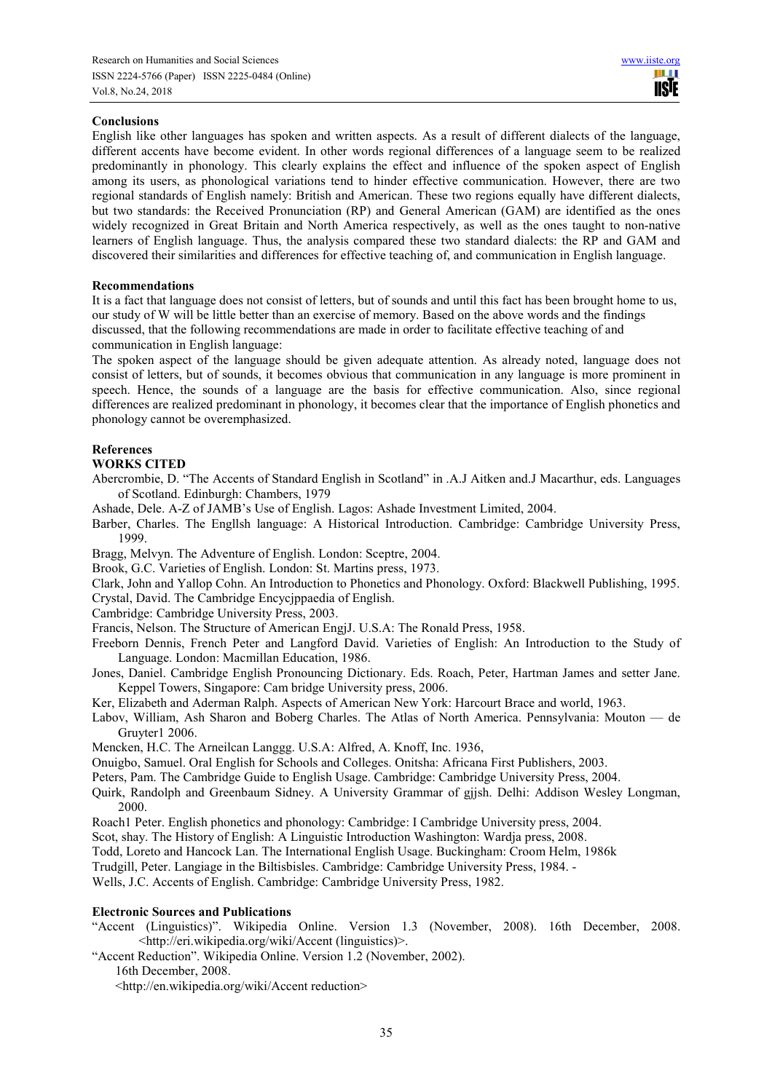#### **Conclusions**

English like other languages has spoken and written aspects. As a result of different dialects of the language, different accents have become evident. In other words regional differences of a language seem to be realized predominantly in phonology. This clearly explains the effect and influence of the spoken aspect of English among its users, as phonological variations tend to hinder effective communication. However, there are two regional standards of English namely: British and American. These two regions equally have different dialects, but two standards: the Received Pronunciation (RP) and General American (GAM) are identified as the ones widely recognized in Great Britain and North America respectively, as well as the ones taught to non-native learners of English language. Thus, the analysis compared these two standard dialects: the RP and GAM and discovered their similarities and differences for effective teaching of, and communication in English language.

#### **Recommendations**

It is a fact that language does not consist of letters, but of sounds and until this fact has been brought home to us, our study of W will be little better than an exercise of memory. Based on the above words and the findings discussed, that the following recommendations are made in order to facilitate effective teaching of and communication in English language:

The spoken aspect of the language should be given adequate attention. As already noted, language does not consist of letters, but of sounds, it becomes obvious that communication in any language is more prominent in speech. Hence, the sounds of a language are the basis for effective communication. Also, since regional differences are realized predominant in phonology, it becomes clear that the importance of English phonetics and phonology cannot be overemphasized.

### **References**

### **WORKS CITED**

Abercrombie, D. "The Accents of Standard English in Scotland" in .A.J Aitken and.J Macarthur, eds. Languages of Scotland. Edinburgh: Chambers, 1979

Ashade, Dele. A-Z of JAMB's Use of English. Lagos: Ashade Investment Limited, 2004.

Barber, Charles. The Engllsh language: A Historical Introduction. Cambridge: Cambridge University Press, 1999.

Bragg, Melvyn. The Adventure of English. London: Sceptre, 2004.

Brook, G.C. Varieties of English. London: St. Martins press, 1973.

Clark, John and Yallop Cohn. An Introduction to Phonetics and Phonology. Oxford: Blackwell Publishing, 1995.

Crystal, David. The Cambridge Encycjppaedia of English.

Cambridge: Cambridge University Press, 2003.

Francis, Nelson. The Structure of American EngjJ. U.S.A: The Ronald Press, 1958.

- Freeborn Dennis, French Peter and Langford David. Varieties of English: An Introduction to the Study of Language. London: Macmillan Education, 1986.
- Jones, Daniel. Cambridge English Pronouncing Dictionary. Eds. Roach, Peter, Hartman James and setter Jane. Keppel Towers, Singapore: Cam bridge University press, 2006.

Ker, Elizabeth and Aderman Ralph. Aspects of American New York: Harcourt Brace and world, 1963.

Labov, William, Ash Sharon and Boberg Charles. The Atlas of North America. Pennsylvania: Mouton — de Gruyter1 2006.

Mencken, H.C. The Arneilcan Langgg. U.S.A: Alfred, A. Knoff, Inc. 1936,

Onuigbo, Samuel. Oral English for Schools and Colleges. Onitsha: Africana First Publishers, 2003.

Peters, Pam. The Cambridge Guide to English Usage. Cambridge: Cambridge University Press, 2004.

Quirk, Randolph and Greenbaum Sidney. A University Grammar of gjjsh. Delhi: Addison Wesley Longman, 2000.

Roach1 Peter. English phonetics and phonology: Cambridge: I Cambridge University press, 2004.

Scot, shay. The History of English: A Linguistic Introduction Washington: Wardja press, 2008.

Todd, Loreto and Hancock Lan. The International English Usage. Buckingham: Croom Helm, 1986k

Trudgill, Peter. Langiage in the Biltisbisles. Cambridge: Cambridge University Press, 1984. -

Wells, J.C. Accents of English. Cambridge: Cambridge University Press, 1982.

#### **Electronic Sources and Publications**

"Accent (Linguistics)". Wikipedia Online. Version 1.3 (November, 2008). 16th December, 2008. <http://eri.wikipedia.org/wiki/Accent (linguistics)>.

"Accent Reduction". Wikipedia Online. Version 1.2 (November, 2002).

16th December, 2008.

<http://en.wikipedia.org/wiki/Accent reduction>